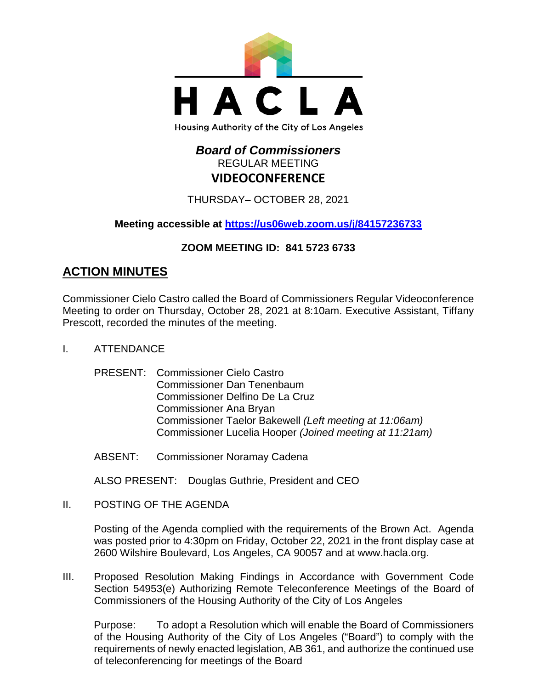

# *Board of Commissioners* REGULAR MEETING **VIDEOCONFERENCE**

THURSDAY– OCTOBER 28, 2021

**Meeting accessible at<https://us06web.zoom.us/j/84157236733>**

## **ZOOM MEETING ID: 841 5723 6733**

# **ACTION MINUTES**

Commissioner Cielo Castro called the Board of Commissioners Regular Videoconference Meeting to order on Thursday, October 28, 2021 at 8:10am. Executive Assistant, Tiffany Prescott, recorded the minutes of the meeting.

- I. ATTENDANCE
	- PRESENT: Commissioner Cielo Castro Commissioner Dan Tenenbaum Commissioner Delfino De La Cruz Commissioner Ana Bryan Commissioner Taelor Bakewell *(Left meeting at 11:06am)* Commissioner Lucelia Hooper *(Joined meeting at 11:21am)*
	- ABSENT: Commissioner Noramay Cadena

ALSO PRESENT: Douglas Guthrie, President and CEO

II. POSTING OF THE AGENDA

Posting of the Agenda complied with the requirements of the Brown Act. Agenda was posted prior to 4:30pm on Friday, October 22, 2021 in the front display case at 2600 Wilshire Boulevard, Los Angeles, CA 90057 and at [www.hacla.org.](http://www.hacla.org/)

III. Proposed Resolution Making Findings in Accordance with Government Code Section 54953(e) Authorizing Remote Teleconference Meetings of the Board of Commissioners of the Housing Authority of the City of Los Angeles

Purpose: To adopt a Resolution which will enable the Board of Commissioners of the Housing Authority of the City of Los Angeles ("Board") to comply with the requirements of newly enacted legislation, AB 361, and authorize the continued use of teleconferencing for meetings of the Board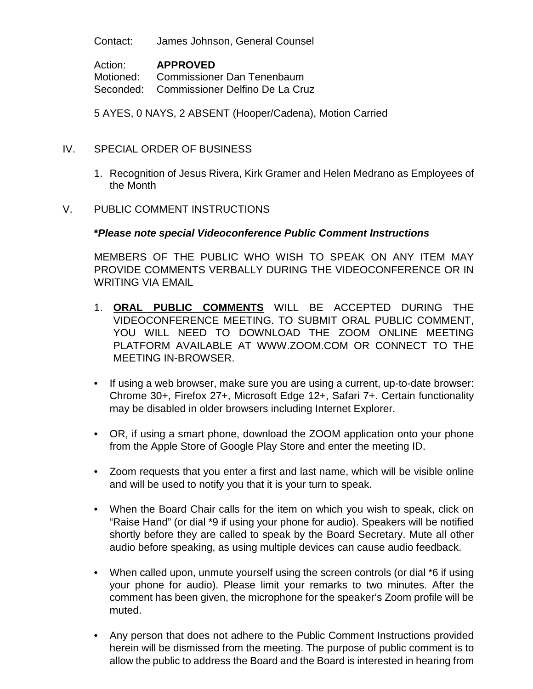Contact: James Johnson, General Counsel

Action: **APPROVED** Motioned: Commissioner Dan Tenenbaum Seconded: Commissioner Delfino De La Cruz

5 AYES, 0 NAYS, 2 ABSENT (Hooper/Cadena), Motion Carried

- IV. SPECIAL ORDER OF BUSINESS
	- 1. Recognition of Jesus Rivera, Kirk Gramer and Helen Medrano as Employees of the Month

#### V. PUBLIC COMMENT INSTRUCTIONS

#### **\****Please note special Videoconference Public Comment Instructions*

MEMBERS OF THE PUBLIC WHO WISH TO SPEAK ON ANY ITEM MAY PROVIDE COMMENTS VERBALLY DURING THE VIDEOCONFERENCE OR IN WRITING VIA EMAIL

- 1. **ORAL PUBLIC COMMENTS** WILL BE ACCEPTED DURING THE VIDEOCONFERENCE MEETING. TO SUBMIT ORAL PUBLIC COMMENT, YOU WILL NEED TO DOWNLOAD THE ZOOM ONLINE MEETING PLATFORM AVAILABLE AT WWW.ZOOM.COM OR CONNECT TO THE MEETING IN-BROWSER.
- If using a web browser, make sure you are using a current, up-to-date browser: Chrome 30+, Firefox 27+, Microsoft Edge 12+, Safari 7+. Certain functionality may be disabled in older browsers including Internet Explorer.
- OR, if using a smart phone, download the ZOOM application onto your phone from the Apple Store of Google Play Store and enter the meeting ID.
- Zoom requests that you enter a first and last name, which will be visible online and will be used to notify you that it is your turn to speak.
- When the Board Chair calls for the item on which you wish to speak, click on "Raise Hand" (or dial \*9 if using your phone for audio). Speakers will be notified shortly before they are called to speak by the Board Secretary. Mute all other audio before speaking, as using multiple devices can cause audio feedback.
- When called upon, unmute yourself using the screen controls (or dial \*6 if using your phone for audio). Please limit your remarks to two minutes. After the comment has been given, the microphone for the speaker's Zoom profile will be muted.
- Any person that does not adhere to the Public Comment Instructions provided herein will be dismissed from the meeting. The purpose of public comment is to allow the public to address the Board and the Board is interested in hearing from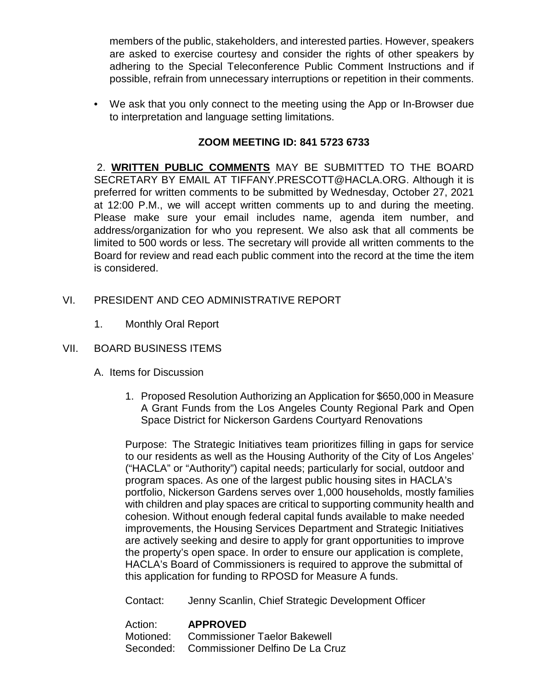members of the public, stakeholders, and interested parties. However, speakers are asked to exercise courtesy and consider the rights of other speakers by adhering to the Special Teleconference Public Comment Instructions and if possible, refrain from unnecessary interruptions or repetition in their comments.

• We ask that you only connect to the meeting using the App or In-Browser due to interpretation and language setting limitations.

## **ZOOM MEETING ID: 841 5723 6733**

2. **WRITTEN PUBLIC COMMENTS** MAY BE SUBMITTED TO THE BOARD SECRETARY BY EMAIL AT TIFFANY.PRESCOTT@HACLA.ORG. Although it is preferred for written comments to be submitted by Wednesday, October 27, 2021 at 12:00 P.M., we will accept written comments up to and during the meeting. Please make sure your email includes name, agenda item number, and address/organization for who you represent. We also ask that all comments be limited to 500 words or less. The secretary will provide all written comments to the Board for review and read each public comment into the record at the time the item is considered.

- VI. PRESIDENT AND CEO ADMINISTRATIVE REPORT
	- 1. Monthly Oral Report
- VII. BOARD BUSINESS ITEMS
	- A. Items for Discussion
		- 1. Proposed Resolution Authorizing an Application for \$650,000 in Measure A Grant Funds from the Los Angeles County Regional Park and Open Space District for Nickerson Gardens Courtyard Renovations

Purpose: The Strategic Initiatives team prioritizes filling in gaps for service to our residents as well as the Housing Authority of the City of Los Angeles' ("HACLA" or "Authority") capital needs; particularly for social, outdoor and program spaces. As one of the largest public housing sites in HACLA's portfolio, Nickerson Gardens serves over 1,000 households, mostly families with children and play spaces are critical to supporting community health and cohesion. Without enough federal capital funds available to make needed improvements, the Housing Services Department and Strategic Initiatives are actively seeking and desire to apply for grant opportunities to improve the property's open space. In order to ensure our application is complete, HACLA's Board of Commissioners is required to approve the submittal of this application for funding to RPOSD for Measure A funds.

Contact: Jenny Scanlin, Chief Strategic Development Officer

#### Action: **APPROVED** Motioned: Commissioner Taelor Bakewell Seconded: Commissioner Delfino De La Cruz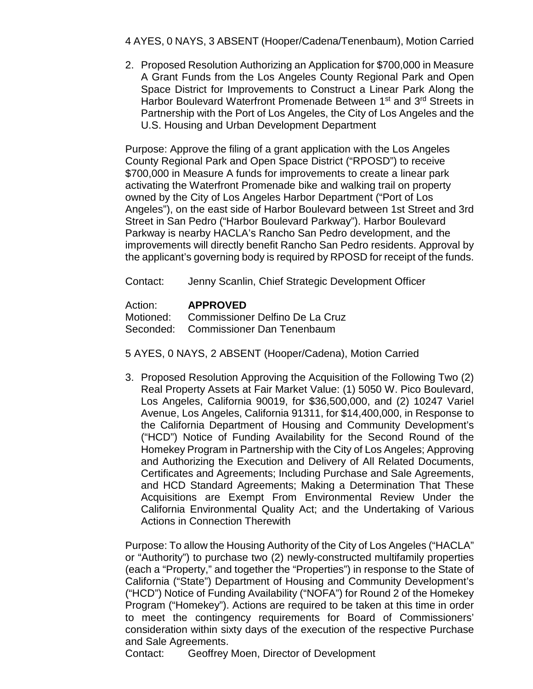4 AYES, 0 NAYS, 3 ABSENT (Hooper/Cadena/Tenenbaum), Motion Carried

2. Proposed Resolution Authorizing an Application for \$700,000 in Measure A Grant Funds from the Los Angeles County Regional Park and Open Space District for Improvements to Construct a Linear Park Along the Harbor Boulevard Waterfront Promenade Between 1<sup>st</sup> and 3<sup>rd</sup> Streets in Partnership with the Port of Los Angeles, the City of Los Angeles and the U.S. Housing and Urban Development Department

Purpose: Approve the filing of a grant application with the Los Angeles County Regional Park and Open Space District ("RPOSD") to receive \$700,000 in Measure A funds for improvements to create a linear park activating the Waterfront Promenade bike and walking trail on property owned by the City of Los Angeles Harbor Department ("Port of Los Angeles"), on the east side of Harbor Boulevard between 1st Street and 3rd Street in San Pedro ("Harbor Boulevard Parkway"). Harbor Boulevard Parkway is nearby HACLA's Rancho San Pedro development, and the improvements will directly benefit Rancho San Pedro residents. Approval by the applicant's governing body is required by RPOSD for receipt of the funds.

Contact: Jenny Scanlin, Chief Strategic Development Officer

### Action: **APPROVED** Motioned: Commissioner Delfino De La Cruz Seconded: Commissioner Dan Tenenbaum

5 AYES, 0 NAYS, 2 ABSENT (Hooper/Cadena), Motion Carried

3. Proposed Resolution Approving the Acquisition of the Following Two (2) Real Property Assets at Fair Market Value: (1) 5050 W. Pico Boulevard, Los Angeles, California 90019, for \$36,500,000, and (2) 10247 Variel Avenue, Los Angeles, California 91311, for \$14,400,000, in Response to the California Department of Housing and Community Development's ("HCD") Notice of Funding Availability for the Second Round of the Homekey Program in Partnership with the City of Los Angeles; Approving and Authorizing the Execution and Delivery of All Related Documents, Certificates and Agreements; Including Purchase and Sale Agreements, and HCD Standard Agreements; Making a Determination That These Acquisitions are Exempt From Environmental Review Under the California Environmental Quality Act; and the Undertaking of Various Actions in Connection Therewith

Purpose: To allow the Housing Authority of the City of Los Angeles ("HACLA" or "Authority") to purchase two (2) newly-constructed multifamily properties (each a "Property," and together the "Properties") in response to the State of California ("State") Department of Housing and Community Development's ("HCD") Notice of Funding Availability ("NOFA") for Round 2 of the Homekey Program ("Homekey"). Actions are required to be taken at this time in order to meet the contingency requirements for Board of Commissioners' consideration within sixty days of the execution of the respective Purchase and Sale Agreements.

Contact: Geoffrey Moen, Director of Development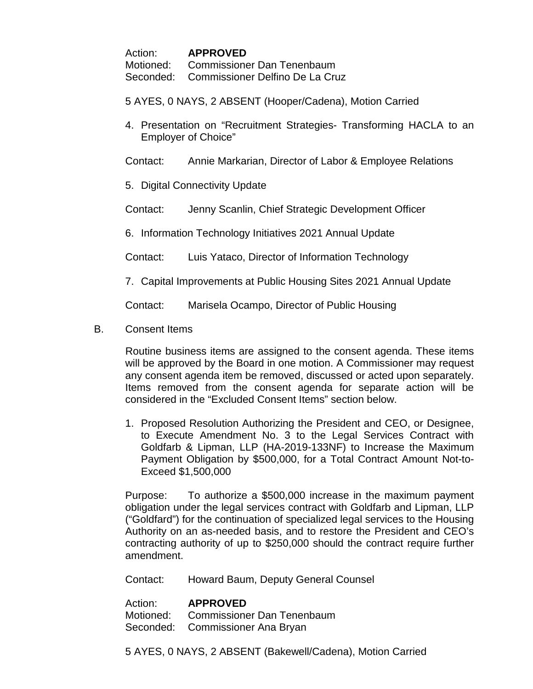Action: **APPROVED** Motioned: Commissioner Dan Tenenbaum Seconded: Commissioner Delfino De La Cruz

5 AYES, 0 NAYS, 2 ABSENT (Hooper/Cadena), Motion Carried

4. Presentation on "Recruitment Strategies- Transforming HACLA to an Employer of Choice"

Contact: Annie Markarian, Director of Labor & Employee Relations

5. Digital Connectivity Update

Contact: Jenny Scanlin, Chief Strategic Development Officer

6. Information Technology Initiatives 2021 Annual Update

Contact: Luis Yataco, Director of Information Technology

7. Capital Improvements at Public Housing Sites 2021 Annual Update

Contact: Marisela Ocampo, Director of Public Housing

B. Consent Items

Routine business items are assigned to the consent agenda. These items will be approved by the Board in one motion. A Commissioner may request any consent agenda item be removed, discussed or acted upon separately. Items removed from the consent agenda for separate action will be considered in the "Excluded Consent Items" section below.

1. Proposed Resolution Authorizing the President and CEO, or Designee, to Execute Amendment No. 3 to the Legal Services Contract with Goldfarb & Lipman, LLP (HA-2019-133NF) to Increase the Maximum Payment Obligation by \$500,000, for a Total Contract Amount Not-to-Exceed \$1,500,000

Purpose: To authorize a \$500,000 increase in the maximum payment obligation under the legal services contract with Goldfarb and Lipman, LLP ("Goldfard") for the continuation of specialized legal services to the Housing Authority on an as-needed basis, and to restore the President and CEO's contracting authority of up to \$250,000 should the contract require further amendment.

Contact: Howard Baum, Deputy General Counsel

Action: **APPROVED** Motioned: Commissioner Dan Tenenbaum Seconded: Commissioner Ana Bryan

5 AYES, 0 NAYS, 2 ABSENT (Bakewell/Cadena), Motion Carried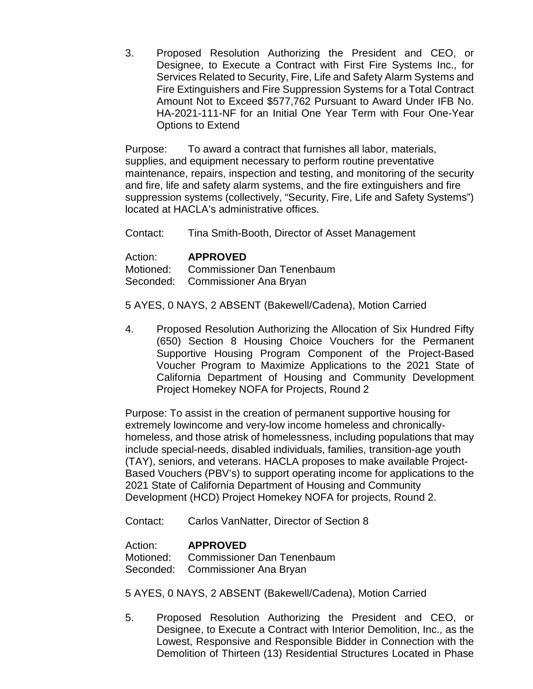3. Proposed Resolution Authorizing the President and CEO, or Designee, to Execute a Contract with First Fire Systems Inc., for Services Related to Security, Fire, Life and Safety Alarm Systems and Fire Extinguishers and Fire Suppression Systems for a Total Contract Amount Not to Exceed \$577,762 Pursuant to Award Under IFB No. HA-2021-111-NF for an Initial One Year Term with Four One-Year Options to Extend

Purpose: To award a contract that furnishes all labor, materials, supplies, and equipment necessary to perform routine preventative maintenance, repairs, inspection and testing, and monitoring of the security and fire, life and safety alarm systems, and the fire extinguishers and fire suppression systems (collectively, "Security, Fire, Life and Safety Systems") located at HACLA's administrative offices.

Contact: Tina Smith-Booth, Director of Asset Management

Action: **APPROVED**<br>Motioned: Commissione Commissioner Dan Tenenbaum Seconded: Commissioner Ana Bryan

5 AYES, 0 NAYS, 2 ABSENT (Bakewell/Cadena), Motion Carried

4. Proposed Resolution Authorizing the Allocation of Six Hundred Fifty (650) Section 8 Housing Choice Vouchers for the Permanent Supportive Housing Program Component of the Project-Based Voucher Program to Maximize Applications to the 2021 State of California Department of Housing and Community Development Project Homekey NOFA for Projects, Round 2

Purpose: To assist in the creation of permanent supportive housing for extremely lowincome and very-low income homeless and chronicallyhomeless, and those atrisk of homelessness, including populations that may include special-needs, disabled individuals, families, transition-age youth (TAY), seniors, and veterans. HACLA proposes to make available Project-Based Vouchers (PBV's) to support operating income for applications to the 2021 State of California Department of Housing and Community Development (HCD) Project Homekey NOFA for projects, Round 2.

Contact: Carlos VanNatter, Director of Section 8

Action: **APPROVED**

Motioned: Commissioner Dan Tenenbaum Seconded: Commissioner Ana Bryan

5 AYES, 0 NAYS, 2 ABSENT (Bakewell/Cadena), Motion Carried

5. Proposed Resolution Authorizing the President and CEO, or Designee, to Execute a Contract with Interior Demolition, Inc., as the Lowest, Responsive and Responsible Bidder in Connection with the Demolition of Thirteen (13) Residential Structures Located in Phase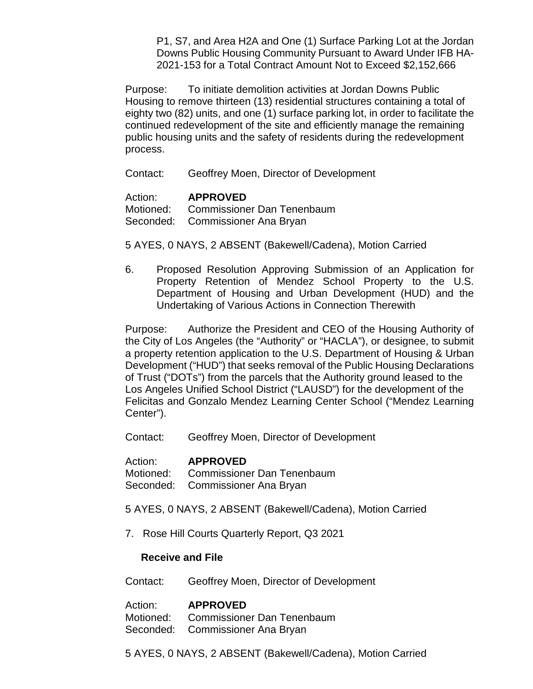P1, S7, and Area H2A and One (1) Surface Parking Lot at the Jordan Downs Public Housing Community Pursuant to Award Under IFB HA-2021-153 for a Total Contract Amount Not to Exceed \$2,152,666

Purpose: To initiate demolition activities at Jordan Downs Public Housing to remove thirteen (13) residential structures containing a total of eighty two (82) units, and one (1) surface parking lot, in order to facilitate the continued redevelopment of the site and efficiently manage the remaining public housing units and the safety of residents during the redevelopment process.

Contact: Geoffrey Moen, Director of Development

Action: **APPROVED** Motioned: Commissioner Dan Tenenbaum Seconded: Commissioner Ana Bryan

5 AYES, 0 NAYS, 2 ABSENT (Bakewell/Cadena), Motion Carried

6. Proposed Resolution Approving Submission of an Application for Property Retention of Mendez School Property to the U.S. Department of Housing and Urban Development (HUD) and the Undertaking of Various Actions in Connection Therewith

Purpose: Authorize the President and CEO of the Housing Authority of the City of Los Angeles (the "Authority" or "HACLA"), or designee, to submit a property retention application to the U.S. Department of Housing & Urban Development ("HUD") that seeks removal of the Public Housing Declarations of Trust ("DOTs") from the parcels that the Authority ground leased to the Los Angeles Unified School District ("LAUSD") for the development of the Felicitas and Gonzalo Mendez Learning Center School ("Mendez Learning Center").

Contact: Geoffrey Moen, Director of Development

Action: **APPROVED**<br>Motioned: Commissione Commissioner Dan Tenenbaum Seconded: Commissioner Ana Bryan

- 5 AYES, 0 NAYS, 2 ABSENT (Bakewell/Cadena), Motion Carried
- 7. Rose Hill Courts Quarterly Report, Q3 2021

#### **Receive and File**

Contact: Geoffrey Moen, Director of Development

Action: **APPROVED** Motioned: Commissioner Dan Tenenbaum Seconded: Commissioner Ana Bryan

5 AYES, 0 NAYS, 2 ABSENT (Bakewell/Cadena), Motion Carried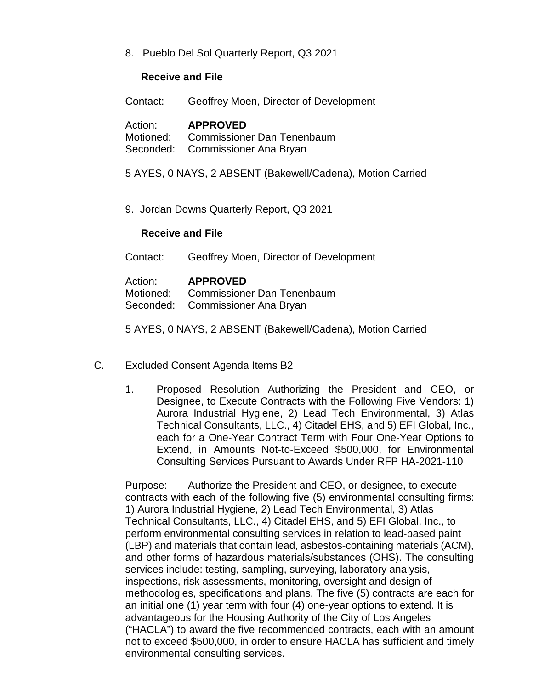8. Pueblo Del Sol Quarterly Report, Q3 2021

#### **Receive and File**

Contact: Geoffrey Moen, Director of Development

Action: **APPROVED** Motioned: Commissioner Dan Tenenbaum Seconded: Commissioner Ana Bryan

5 AYES, 0 NAYS, 2 ABSENT (Bakewell/Cadena), Motion Carried

9. Jordan Downs Quarterly Report, Q3 2021

### **Receive and File**

Contact: Geoffrey Moen, Director of Development

| Action: | <b>APPROVED</b>                      |
|---------|--------------------------------------|
|         | Motioned: Commissioner Dan Tenenbaum |
|         | Seconded: Commissioner Ana Bryan     |

5 AYES, 0 NAYS, 2 ABSENT (Bakewell/Cadena), Motion Carried

- C. Excluded Consent Agenda Items B2
	- 1. Proposed Resolution Authorizing the President and CEO, or Designee, to Execute Contracts with the Following Five Vendors: 1) Aurora Industrial Hygiene, 2) Lead Tech Environmental, 3) Atlas Technical Consultants, LLC., 4) Citadel EHS, and 5) EFI Global, Inc., each for a One-Year Contract Term with Four One-Year Options to Extend, in Amounts Not-to-Exceed \$500,000, for Environmental Consulting Services Pursuant to Awards Under RFP HA-2021-110

Purpose: Authorize the President and CEO, or designee, to execute contracts with each of the following five (5) environmental consulting firms: 1) Aurora Industrial Hygiene, 2) Lead Tech Environmental, 3) Atlas Technical Consultants, LLC., 4) Citadel EHS, and 5) EFI Global, Inc., to perform environmental consulting services in relation to lead-based paint (LBP) and materials that contain lead, asbestos-containing materials (ACM), and other forms of hazardous materials/substances (OHS). The consulting services include: testing, sampling, surveying, laboratory analysis, inspections, risk assessments, monitoring, oversight and design of methodologies, specifications and plans. The five (5) contracts are each for an initial one (1) year term with four (4) one-year options to extend. It is advantageous for the Housing Authority of the City of Los Angeles ("HACLA") to award the five recommended contracts, each with an amount not to exceed \$500,000, in order to ensure HACLA has sufficient and timely environmental consulting services.